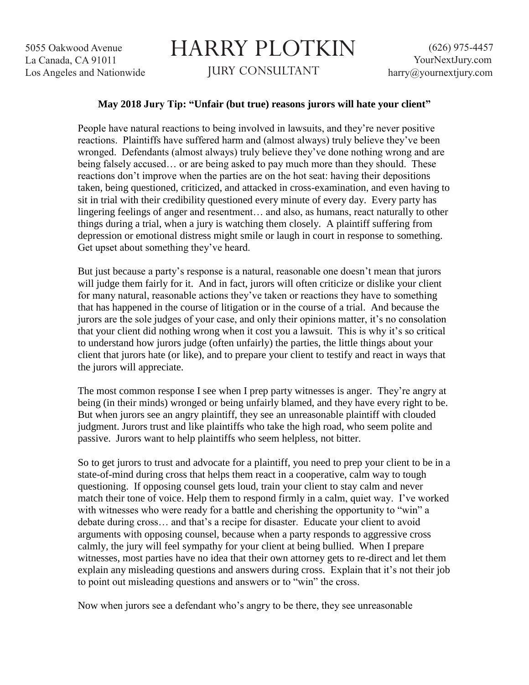## HARRY PLOTKIN JURY CONSULTANT

## **May 2018 Jury Tip: "Unfair (but true) reasons jurors will hate your client"**

People have natural reactions to being involved in lawsuits, and they're never positive reactions. Plaintiffs have suffered harm and (almost always) truly believe they've been wronged. Defendants (almost always) truly believe they've done nothing wrong and are being falsely accused… or are being asked to pay much more than they should. These reactions don't improve when the parties are on the hot seat: having their depositions taken, being questioned, criticized, and attacked in cross-examination, and even having to sit in trial with their credibility questioned every minute of every day. Every party has lingering feelings of anger and resentment… and also, as humans, react naturally to other things during a trial, when a jury is watching them closely. A plaintiff suffering from depression or emotional distress might smile or laugh in court in response to something. Get upset about something they've heard.

But just because a party's response is a natural, reasonable one doesn't mean that jurors will judge them fairly for it. And in fact, jurors will often criticize or dislike your client for many natural, reasonable actions they've taken or reactions they have to something that has happened in the course of litigation or in the course of a trial. And because the jurors are the sole judges of your case, and only their opinions matter, it's no consolation that your client did nothing wrong when it cost you a lawsuit. This is why it's so critical to understand how jurors judge (often unfairly) the parties, the little things about your client that jurors hate (or like), and to prepare your client to testify and react in ways that the jurors will appreciate.

The most common response I see when I prep party witnesses is anger. They're angry at being (in their minds) wronged or being unfairly blamed, and they have every right to be. But when jurors see an angry plaintiff, they see an unreasonable plaintiff with clouded judgment. Jurors trust and like plaintiffs who take the high road, who seem polite and passive. Jurors want to help plaintiffs who seem helpless, not bitter.

So to get jurors to trust and advocate for a plaintiff, you need to prep your client to be in a state-of-mind during cross that helps them react in a cooperative, calm way to tough questioning. If opposing counsel gets loud, train your client to stay calm and never match their tone of voice. Help them to respond firmly in a calm, quiet way. I've worked with witnesses who were ready for a battle and cherishing the opportunity to "win" a debate during cross… and that's a recipe for disaster. Educate your client to avoid arguments with opposing counsel, because when a party responds to aggressive cross calmly, the jury will feel sympathy for your client at being bullied. When I prepare witnesses, most parties have no idea that their own attorney gets to re-direct and let them explain any misleading questions and answers during cross. Explain that it's not their job to point out misleading questions and answers or to "win" the cross.

Now when jurors see a defendant who's angry to be there, they see unreasonable